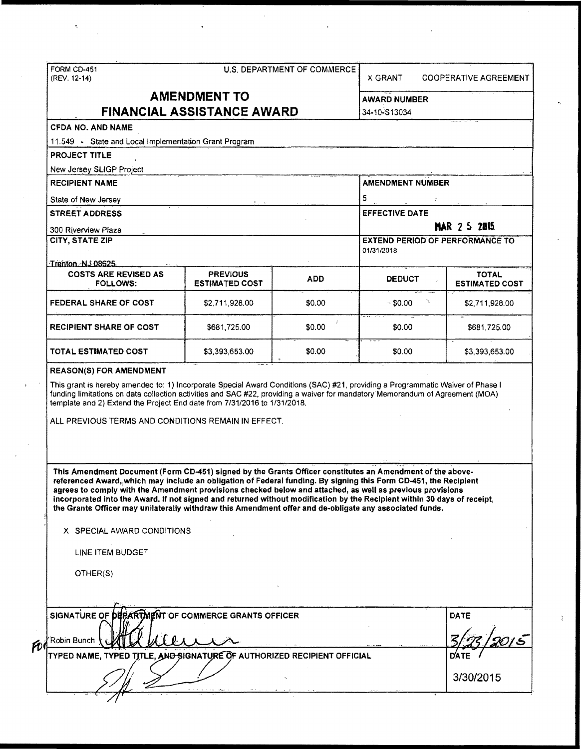|                                                                                                                                                                                                                                                                                                                                                                                                                                                                                                                                                                                   |                                          | U.S. DEPARTMENT OF COMMERCE | X GRANT                                                       | <b>COOPERATIVE AGREEMENT</b>          |  |
|-----------------------------------------------------------------------------------------------------------------------------------------------------------------------------------------------------------------------------------------------------------------------------------------------------------------------------------------------------------------------------------------------------------------------------------------------------------------------------------------------------------------------------------------------------------------------------------|------------------------------------------|-----------------------------|---------------------------------------------------------------|---------------------------------------|--|
| <b>AMENDMENT TO</b>                                                                                                                                                                                                                                                                                                                                                                                                                                                                                                                                                               |                                          |                             | <b>AWARD NUMBER</b>                                           |                                       |  |
|                                                                                                                                                                                                                                                                                                                                                                                                                                                                                                                                                                                   | <b>FINANCIAL ASSISTANCE AWARD</b>        | 34-10-S13034                |                                                               |                                       |  |
| <b>CFDA NO. AND NAME</b>                                                                                                                                                                                                                                                                                                                                                                                                                                                                                                                                                          |                                          |                             |                                                               |                                       |  |
| 11.549 - State and Local Implementation Grant Program                                                                                                                                                                                                                                                                                                                                                                                                                                                                                                                             |                                          |                             |                                                               |                                       |  |
| <b>PROJECT TITLE</b>                                                                                                                                                                                                                                                                                                                                                                                                                                                                                                                                                              |                                          |                             |                                                               |                                       |  |
| New Jersey SLIGP Project                                                                                                                                                                                                                                                                                                                                                                                                                                                                                                                                                          |                                          |                             |                                                               |                                       |  |
| <b>RECIPIENT NAME</b>                                                                                                                                                                                                                                                                                                                                                                                                                                                                                                                                                             | <b>AMENDMENT NUMBER</b>                  |                             |                                                               |                                       |  |
|                                                                                                                                                                                                                                                                                                                                                                                                                                                                                                                                                                                   |                                          |                             | 5                                                             |                                       |  |
| State of New Jersey<br><b>STREET ADDRESS</b><br>300 Riverview Plaza<br><b>CITY, STATE ZIP</b>                                                                                                                                                                                                                                                                                                                                                                                                                                                                                     |                                          |                             | <b>EFFECTIVE DATE</b>                                         |                                       |  |
|                                                                                                                                                                                                                                                                                                                                                                                                                                                                                                                                                                                   |                                          |                             | <b>MAR 2 5 2015</b><br><b>EXTEND PERIOD OF PERFORMANCE TO</b> |                                       |  |
|                                                                                                                                                                                                                                                                                                                                                                                                                                                                                                                                                                                   |                                          |                             |                                                               |                                       |  |
| Trenton. NJ 08625                                                                                                                                                                                                                                                                                                                                                                                                                                                                                                                                                                 |                                          |                             |                                                               |                                       |  |
| <b>COSTS ARE REVISED AS</b><br><b>FOLLOWS:</b>                                                                                                                                                                                                                                                                                                                                                                                                                                                                                                                                    | <b>PREVIOUS</b><br><b>ESTIMATED COST</b> | <b>ADD</b>                  | <b>DEDUCT</b>                                                 | <b>TOTAL</b><br><b>ESTIMATED COST</b> |  |
| FEDERAL SHARE OF COST                                                                                                                                                                                                                                                                                                                                                                                                                                                                                                                                                             | \$2,711,928.00                           | \$0.00                      | $-$ \$0.00                                                    | \$2,711,928.00                        |  |
| <b>RECIPIENT SHARE OF COST</b>                                                                                                                                                                                                                                                                                                                                                                                                                                                                                                                                                    | \$681,725,00                             | \$0.00                      | \$0.00                                                        | \$681,725.00                          |  |
| TOTAL ESTIMATED COST                                                                                                                                                                                                                                                                                                                                                                                                                                                                                                                                                              | \$3,393,653.00                           | \$0.00                      | \$0.00                                                        | \$3,393,653.00                        |  |
|                                                                                                                                                                                                                                                                                                                                                                                                                                                                                                                                                                                   |                                          |                             |                                                               |                                       |  |
| <b>REASON(S) FOR AMENDMENT</b><br>This grant is hereby amended to: 1) Incorporate Special Award Conditions (SAC) #21, providing a Programmatic Waiver of Phase I<br>funding limitations on data collection activities and SAC #22, providing a waiver for mandatory Memorandum of Agreement (MOA)<br>template and 2) Extend the Project End date from 7/31/2016 to 1/31/2018.<br>ALL PREVIOUS TERMS AND CONDITIONS REMAIN IN EFFECT.                                                                                                                                              |                                          |                             |                                                               |                                       |  |
| This Amendment Document (Form CD-451) signed by the Grants Officer constitutes an Amendment of the above-<br>referenced Award, which may include an obligation of Federal funding. By signing this Form CD-451, the Recipient<br>agrees to comply with the Amendment provisions checked below and attached, as well as previous provisions<br>incorporated into the Award. If not signed and returned without modification by the Recipient within 30 days of receipt,<br>the Grants Officer may unilaterally withdraw this Amendment offer and de-obligate any associated funds. |                                          |                             |                                                               |                                       |  |
| X SPECIAL AWARD CONDITIONS                                                                                                                                                                                                                                                                                                                                                                                                                                                                                                                                                        |                                          |                             |                                                               |                                       |  |
| LINE ITEM BUDGET                                                                                                                                                                                                                                                                                                                                                                                                                                                                                                                                                                  |                                          |                             |                                                               |                                       |  |
| OTHER(S)                                                                                                                                                                                                                                                                                                                                                                                                                                                                                                                                                                          |                                          |                             |                                                               |                                       |  |
|                                                                                                                                                                                                                                                                                                                                                                                                                                                                                                                                                                                   |                                          |                             |                                                               |                                       |  |
| SIGNATURE OF DEPARTMENT OF COMMERCE GRANTS OFFICER                                                                                                                                                                                                                                                                                                                                                                                                                                                                                                                                |                                          |                             |                                                               | <b>DATE</b>                           |  |
| Robin Bunch<br>TYPED NAME, TYPED TITLE, AND SIGNATURE OF AUTHORIZED RECIPIENT OFFICIAL                                                                                                                                                                                                                                                                                                                                                                                                                                                                                            |                                          |                             |                                                               | <b>DATE</b>                           |  |

 $\label{eq:2.1} \mathcal{L}(\mathcal{L}^{\mathcal{L}}_{\mathcal{L}}(\mathcal{L}^{\mathcal{L}}_{\mathcal{L}})) = \mathcal{L}(\mathcal{L}^{\mathcal{L}}_{\mathcal{L}}(\mathcal{L}^{\mathcal{L}}_{\mathcal{L}})) = \mathcal{L}(\mathcal{L}^{\mathcal{L}}_{\mathcal{L}}(\mathcal{L}^{\mathcal{L}}_{\mathcal{L}}))$ 

 $\ddot{\phantom{0}}$ 

 $\sim$   $\sigma$